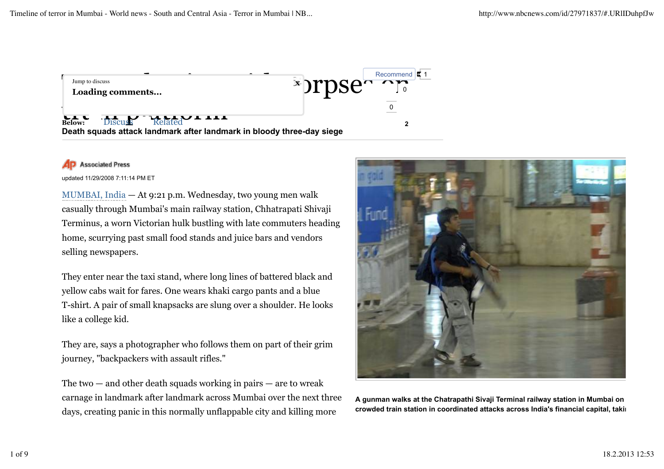



A gunman walks at the Chatrapathi Sivaji Terminal railway station in Mumbai on crowded train station in coordinated attacks across India's financial capital, taking

# **AP** Associated Press

updated 11/29/2008 7:11:14 PM ET

MUMBAI, India — At 9:21 p.m. Wednesday, two young men walk casually through Mumbai's main railway station, Chhatrapati Shivaji Terminus, a worn Victorian hulk bustling with late commuters heading home, scurrying past small food stands and juice bars and vendors selling newspapers.

They enter near the taxi stand, where long lines of battered black and yellow cabs wait for fares. One wears khaki cargo pants and a blue T-shirt. A pair of small knapsacks are slung over a shoulder. He looks like a college kid.

They are, says a photographer who follows them on part of their grim journey, "backpackers with assault rifles."

The two  $-$  and other death squads working in pairs  $-$  are to wreak carnage in landmark after landmark across Mumbai over the next three days, creating panic in this normally unflappable city and killing more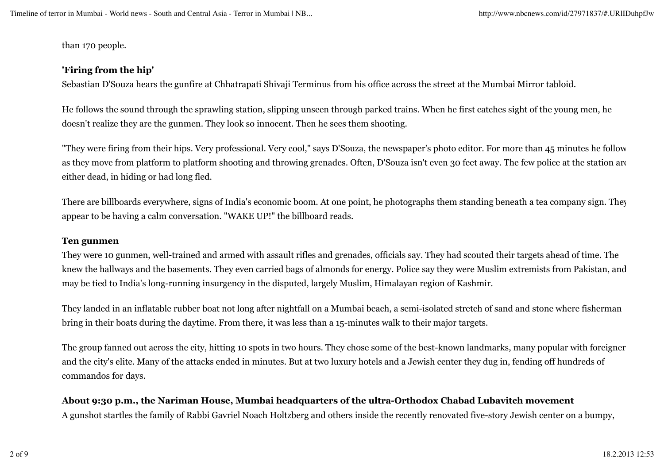than 170 people.

# **'Firing from the hip'**

Sebastian D'Souza hears the gunfire at Chhatrapati Shivaji Terminus from his office across the street at the Mumbai Mirror tabloid.

He follows the sound through the sprawling station, slipping unseen through parked trains. When he first catches sight of the young men, he doesn't realize they are the gunmen. They look so innocent. Then he sees them shooting.

"They were firing from their hips. Very professional. Very cool," says D'Souza, the newspaper's photo editor. For more than 45 minutes he follow as they move from platform to platform shooting and throwing grenades. Often, D'Souza isn't even 30 feet away. The few police at the station are either dead, in hiding or had long fled.

There are billboards everywhere, signs of India's economic boom. At one point, he photographs them standing beneath a tea company sign. They appear to be having a calm conversation. "WAKE UP!" the billboard reads.

## **Ten gunmen**

They were 10 gunmen, well-trained and armed with assault rifles and grenades, officials say. They had scouted their targets ahead of time. The knew the hallways and the basements. They even carried bags of almonds for energy. Police say they were Muslim extremists from Pakistan, and may be tied to India's long-running insurgency in the disputed, largely Muslim, Himalayan region of Kashmir.

They landed in an inflatable rubber boat not long after nightfall on a Mumbai beach, a semi-isolated stretch of sand and stone where fisherman bring in their boats during the daytime. From there, it was less than a 15-minutes walk to their major targets.

The group fanned out across the city, hitting 10 spots in two hours. They chose some of the best-known landmarks, many popular with foreigner and the city's elite. Many of the attacks ended in minutes. But at two luxury hotels and a Jewish center they dug in, fending off hundreds of commandos for days.

# **About 9:30 p.m., the Nariman House, Mumbai headquarters of the ultra-Orthodox Chabad Lubavitch movement**

A gunshot startles the family of Rabbi Gavriel Noach Holtzberg and others inside the recently renovated five-story Jewish center on a bumpy,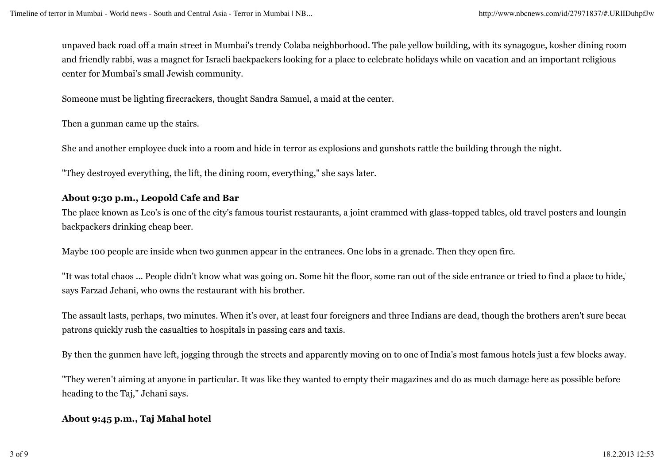unpaved back road off a main street in Mumbai's trendy Colaba neighborhood. The pale yellow building, with its synagogue, kosher dining room and friendly rabbi, was a magnet for Israeli backpackers looking for a place to celebrate holidays while on vacation and an important religious center for Mumbai's small Jewish community.

Someone must be lighting firecrackers, thought Sandra Samuel, a maid at the center.

Then a gunman came up the stairs.

She and another employee duck into a room and hide in terror as explosions and gunshots rattle the building through the night.

"They destroyed everything, the lift, the dining room, everything," she says later.

## **About 9:30 p.m., Leopold Cafe and Bar**

The place known as Leo's is one of the city's famous tourist restaurants, a joint crammed with glass-topped tables, old travel posters and lounging backpackers drinking cheap beer.

Maybe 100 people are inside when two gunmen appear in the entrances. One lobs in a grenade. Then they open fire.

"It was total chaos ... People didn't know what was going on. Some hit the floor, some ran out of the side entrance or tried to find a place to hide," says Farzad Jehani, who owns the restaurant with his brother.

The assault lasts, perhaps, two minutes. When it's over, at least four foreigners and three Indians are dead, though the brothers aren't sure because patrons quickly rush the casualties to hospitals in passing cars and taxis.

By then the gunmen have left, jogging through the streets and apparently moving on to one of India's most famous hotels just a few blocks away.

"They weren't aiming at anyone in particular. It was like they wanted to empty their magazines and do as much damage here as possible before heading to the Taj," Jehani says.

# **About 9:45 p.m., Taj Mahal hotel**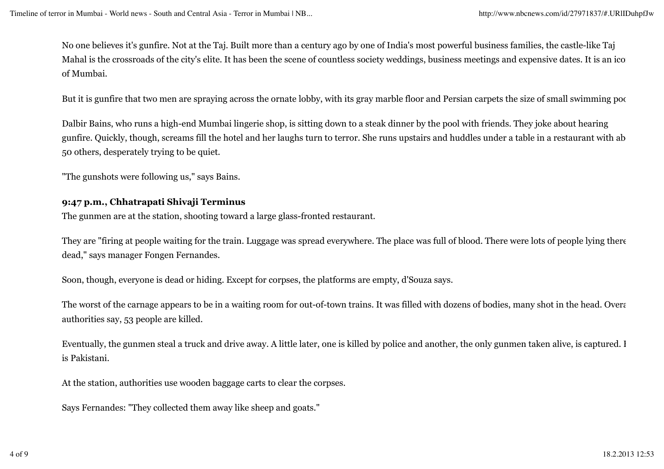No one believes it's gunfire. Not at the Taj. Built more than a century ago by one of India's most powerful business families, the castle-like Taj Mahal is the crossroads of the city's elite. It has been the scene of countless society weddings, business meetings and expensive dates. It is an icon of Mumbai.

But it is gunfire that two men are spraying across the ornate lobby, with its gray marble floor and Persian carpets the size of small swimming pool

Dalbir Bains, who runs a high-end Mumbai lingerie shop, is sitting down to a steak dinner by the pool with friends. They joke about hearing gunfire. Quickly, though, screams fill the hotel and her laughs turn to terror. She runs upstairs and huddles under a table in a restaurant with ab 50 others, desperately trying to be quiet.

"The gunshots were following us," says Bains.

## **9:47 p.m., Chhatrapati Shivaji Terminus**

The gunmen are at the station, shooting toward a large glass-fronted restaurant.

They are "firing at people waiting for the train. Luggage was spread everywhere. The place was full of blood. There were lots of people lying there dead," says manager Fongen Fernandes.

Soon, though, everyone is dead or hiding. Except for corpses, the platforms are empty, d'Souza says.

The worst of the carnage appears to be in a waiting room for out-of-town trains. It was filled with dozens of bodies, many shot in the head. Overally authorities say, 53 people are killed.

Eventually, the gunmen steal a truck and drive away. A little later, one is killed by police and another, the only gunmen taken alive, is captured. He is Pakistani.

At the station, authorities use wooden baggage carts to clear the corpses.

Says Fernandes: "They collected them away like sheep and goats."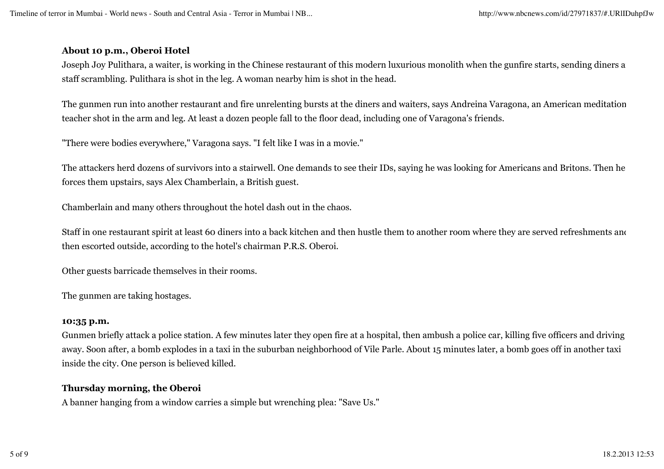#### **About 10 p.m., Oberoi Hotel**

Joseph Joy Pulithara, a waiter, is working in the Chinese restaurant of this modern luxurious monolith when the gunfire starts, sending diners a staff scrambling. Pulithara is shot in the leg. A woman nearby him is shot in the head.

The gunmen run into another restaurant and fire unrelenting bursts at the diners and waiters, says Andreina Varagona, an American meditation teacher shot in the arm and leg. At least a dozen people fall to the floor dead, including one of Varagona's friends.

"There were bodies everywhere," Varagona says. "I felt like I was in a movie."

The attackers herd dozens of survivors into a stairwell. One demands to see their IDs, saying he was looking for Americans and Britons. Then he forces them upstairs, says Alex Chamberlain, a British guest.

Chamberlain and many others throughout the hotel dash out in the chaos.

Staff in one restaurant spirit at least 60 diners into a back kitchen and then hustle them to another room where they are served refreshments and then escorted outside, according to the hotel's chairman P.R.S. Oberoi.

Other guests barricade themselves in their rooms.

The gunmen are taking hostages.

#### **10:35 p.m.**

Gunmen briefly attack a police station. A few minutes later they open fire at a hospital, then ambush a police car, killing five officers and driving away. Soon after, a bomb explodes in a taxi in the suburban neighborhood of Vile Parle. About 15 minutes later, a bomb goes off in another taxi inside the city. One person is believed killed.

# **Thursday morning, the Oberoi**

A banner hanging from a window carries a simple but wrenching plea: "Save Us."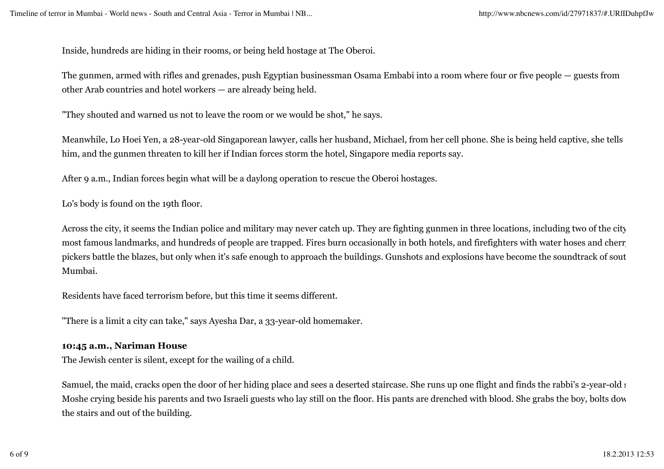Inside, hundreds are hiding in their rooms, or being held hostage at The Oberoi.

The gunmen, armed with rifles and grenades, push Egyptian businessman Osama Embabi into a room where four or five people — guests from other Arab countries and hotel workers — are already being held.

"They shouted and warned us not to leave the room or we would be shot," he says.

Meanwhile, Lo Hoei Yen, a 28-year-old Singaporean lawyer, calls her husband, Michael, from her cell phone. She is being held captive, she tells him, and the gunmen threaten to kill her if Indian forces storm the hotel, Singapore media reports say.

After 9 a.m., Indian forces begin what will be a daylong operation to rescue the Oberoi hostages.

Lo's body is found on the 19th floor.

Across the city, it seems the Indian police and military may never catch up. They are fighting gunmen in three locations, including two of the city most famous landmarks, and hundreds of people are trapped. Fires burn occasionally in both hotels, and firefighters with water hoses and cherry pickers battle the blazes, but only when it's safe enough to approach the buildings. Gunshots and explosions have become the soundtrack of south Mumbai.

Residents have faced terrorism before, but this time it seems different.

"There is a limit a city can take," says Ayesha Dar, a 33-year-old homemaker.

# **10:45 a.m., Nariman House**

The Jewish center is silent, except for the wailing of a child.

Samuel, the maid, cracks open the door of her hiding place and sees a deserted staircase. She runs up one flight and finds the rabbi's 2-year-old s Moshe crying beside his parents and two Israeli guests who lay still on the floor. His pants are drenched with blood. She grabs the boy, bolts dow the stairs and out of the building.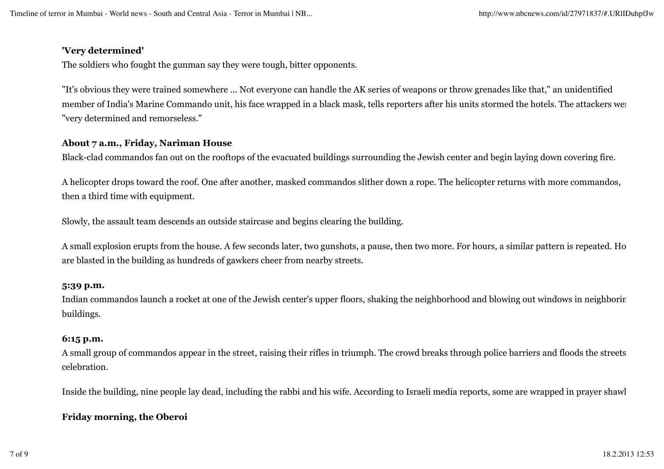## **'Very determined'**

The soldiers who fought the gunman say they were tough, bitter opponents.

"It's obvious they were trained somewhere ... Not everyone can handle the AK series of weapons or throw grenades like that," an unidentified member of India's Marine Commando unit, his face wrapped in a black mask, tells reporters after his units stormed the hotels. The attackers were "very determined and remorseless."

## **About 7 a.m., Friday, Nariman House**

Black-clad commandos fan out on the rooftops of the evacuated buildings surrounding the Jewish center and begin laying down covering fire.

A helicopter drops toward the roof. One after another, masked commandos slither down a rope. The helicopter returns with more commandos, then a third time with equipment.

Slowly, the assault team descends an outside staircase and begins clearing the building.

A small explosion erupts from the house. A few seconds later, two gunshots, a pause, then two more. For hours, a similar pattern is repeated. Ho are blasted in the building as hundreds of gawkers cheer from nearby streets.

#### **5:39 p.m.**

Indian commandos launch a rocket at one of the Jewish center's upper floors, shaking the neighborhood and blowing out windows in neighboring buildings.

#### **6:15 p.m.**

A small group of commandos appear in the street, raising their rifles in triumph. The crowd breaks through police barriers and floods the streets in celebration.

Inside the building, nine people lay dead, including the rabbi and his wife. According to Israeli media reports, some are wrapped in prayer shawls.

# **Friday morning, the Oberoi**